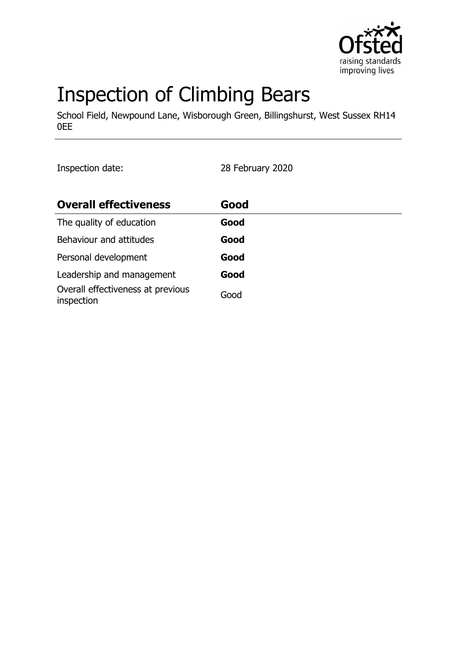

# Inspection of Climbing Bears

School Field, Newpound Lane, Wisborough Green, Billingshurst, West Sussex RH14 0EE

Inspection date: 28 February 2020

| <b>Overall effectiveness</b>                    | Good |
|-------------------------------------------------|------|
| The quality of education                        | Good |
| Behaviour and attitudes                         | Good |
| Personal development                            | Good |
| Leadership and management                       | Good |
| Overall effectiveness at previous<br>inspection | Good |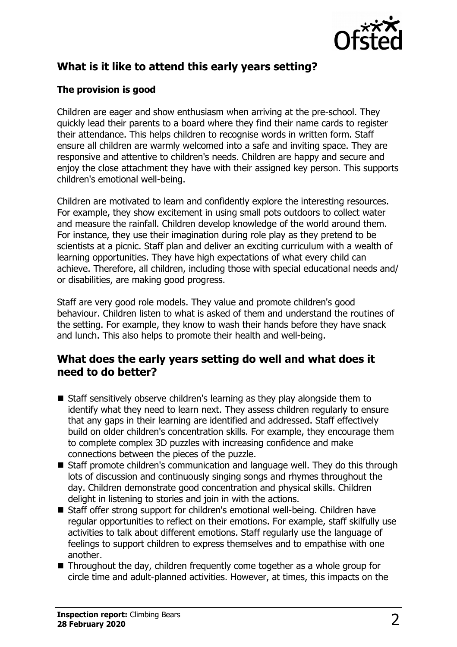

# **What is it like to attend this early years setting?**

#### **The provision is good**

Children are eager and show enthusiasm when arriving at the pre-school. They quickly lead their parents to a board where they find their name cards to register their attendance. This helps children to recognise words in written form. Staff ensure all children are warmly welcomed into a safe and inviting space. They are responsive and attentive to children's needs. Children are happy and secure and enjoy the close attachment they have with their assigned key person. This supports children's emotional well-being.

Children are motivated to learn and confidently explore the interesting resources. For example, they show excitement in using small pots outdoors to collect water and measure the rainfall. Children develop knowledge of the world around them. For instance, they use their imagination during role play as they pretend to be scientists at a picnic. Staff plan and deliver an exciting curriculum with a wealth of learning opportunities. They have high expectations of what every child can achieve. Therefore, all children, including those with special educational needs and/ or disabilities, are making good progress.

Staff are very good role models. They value and promote children's good behaviour. Children listen to what is asked of them and understand the routines of the setting. For example, they know to wash their hands before they have snack and lunch. This also helps to promote their health and well-being.

### **What does the early years setting do well and what does it need to do better?**

- $\blacksquare$  Staff sensitively observe children's learning as they play alongside them to identify what they need to learn next. They assess children regularly to ensure that any gaps in their learning are identified and addressed. Staff effectively build on older children's concentration skills. For example, they encourage them to complete complex 3D puzzles with increasing confidence and make connections between the pieces of the puzzle.
- Staff promote children's communication and language well. They do this through lots of discussion and continuously singing songs and rhymes throughout the day. Children demonstrate good concentration and physical skills. Children delight in listening to stories and join in with the actions.
- Staff offer strong support for children's emotional well-being. Children have regular opportunities to reflect on their emotions. For example, staff skilfully use activities to talk about different emotions. Staff regularly use the language of feelings to support children to express themselves and to empathise with one another.
- $\blacksquare$  Throughout the day, children frequently come together as a whole group for circle time and adult-planned activities. However, at times, this impacts on the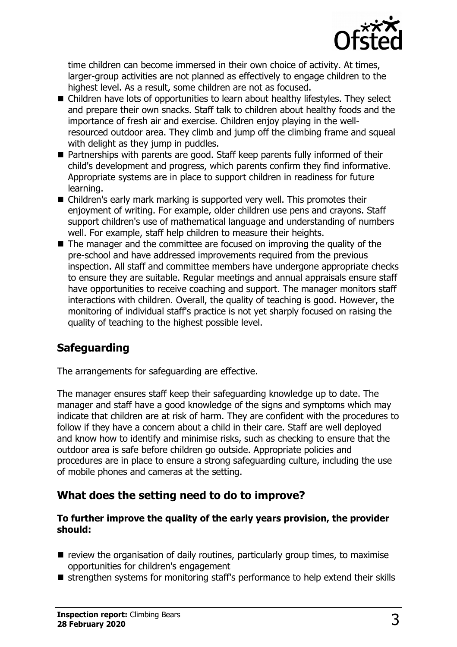

time children can become immersed in their own choice of activity. At times, larger-group activities are not planned as effectively to engage children to the highest level. As a result, some children are not as focused.

- $\blacksquare$  Children have lots of opportunities to learn about healthy lifestyles. They select and prepare their own snacks. Staff talk to children about healthy foods and the importance of fresh air and exercise. Children enjoy playing in the wellresourced outdoor area. They climb and jump off the climbing frame and squeal with delight as they jump in puddles.
- Partnerships with parents are good. Staff keep parents fully informed of their child's development and progress, which parents confirm they find informative. Appropriate systems are in place to support children in readiness for future learning.
- $\blacksquare$  Children's early mark marking is supported very well. This promotes their enjoyment of writing. For example, older children use pens and crayons. Staff support children's use of mathematical language and understanding of numbers well. For example, staff help children to measure their heights.
- $\blacksquare$  The manager and the committee are focused on improving the quality of the pre-school and have addressed improvements required from the previous inspection. All staff and committee members have undergone appropriate checks to ensure they are suitable. Regular meetings and annual appraisals ensure staff have opportunities to receive coaching and support. The manager monitors staff interactions with children. Overall, the quality of teaching is good. However, the monitoring of individual staff's practice is not yet sharply focused on raising the quality of teaching to the highest possible level.

# **Safeguarding**

The arrangements for safeguarding are effective.

The manager ensures staff keep their safeguarding knowledge up to date. The manager and staff have a good knowledge of the signs and symptoms which may indicate that children are at risk of harm. They are confident with the procedures to follow if they have a concern about a child in their care. Staff are well deployed and know how to identify and minimise risks, such as checking to ensure that the outdoor area is safe before children go outside. Appropriate policies and procedures are in place to ensure a strong safeguarding culture, including the use of mobile phones and cameras at the setting.

# **What does the setting need to do to improve?**

#### **To further improve the quality of the early years provision, the provider should:**

- $\blacksquare$  review the organisation of daily routines, particularly group times, to maximise opportunities for children's engagement
- strengthen systems for monitoring staff's performance to help extend their skills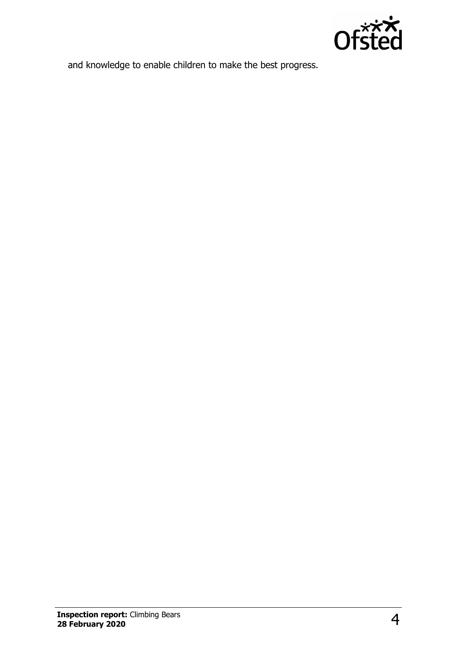

and knowledge to enable children to make the best progress.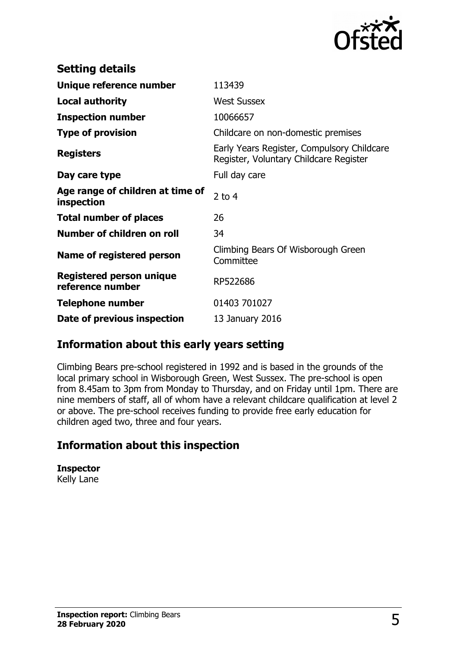

| <b>Setting details</b>                              |                                                                                      |
|-----------------------------------------------------|--------------------------------------------------------------------------------------|
| Unique reference number                             | 113439                                                                               |
| <b>Local authority</b>                              | <b>West Sussex</b>                                                                   |
| <b>Inspection number</b>                            | 10066657                                                                             |
| <b>Type of provision</b>                            | Childcare on non-domestic premises                                                   |
| <b>Registers</b>                                    | Early Years Register, Compulsory Childcare<br>Register, Voluntary Childcare Register |
| Day care type                                       | Full day care                                                                        |
| Age range of children at time of<br>inspection      | 2 to $4$                                                                             |
| <b>Total number of places</b>                       | 26                                                                                   |
| Number of children on roll                          | 34                                                                                   |
| Name of registered person                           | Climbing Bears Of Wisborough Green<br>Committee                                      |
| <b>Registered person unique</b><br>reference number | RP522686                                                                             |
| <b>Telephone number</b>                             | 01403 701027                                                                         |
| Date of previous inspection                         | 13 January 2016                                                                      |

## **Information about this early years setting**

Climbing Bears pre-school registered in 1992 and is based in the grounds of the local primary school in Wisborough Green, West Sussex. The pre-school is open from 8.45am to 3pm from Monday to Thursday, and on Friday until 1pm. There are nine members of staff, all of whom have a relevant childcare qualification at level 2 or above. The pre-school receives funding to provide free early education for children aged two, three and four years.

## **Information about this inspection**

**Inspector** Kelly Lane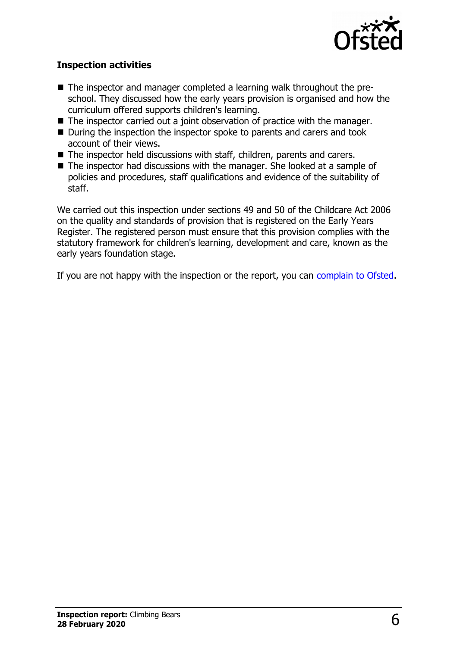

#### **Inspection activities**

- The inspector and manager completed a learning walk throughout the preschool. They discussed how the early years provision is organised and how the curriculum offered supports children's learning.
- $\blacksquare$  The inspector carried out a joint observation of practice with the manager.
- During the inspection the inspector spoke to parents and carers and took account of their views.
- $\blacksquare$  The inspector held discussions with staff, children, parents and carers.
- $\blacksquare$  The inspector had discussions with the manager. She looked at a sample of policies and procedures, staff qualifications and evidence of the suitability of staff.

We carried out this inspection under sections 49 and 50 of the Childcare Act 2006 on the quality and standards of provision that is registered on the Early Years Register. The registered person must ensure that this provision complies with the statutory framework for children's learning, development and care, known as the early years foundation stage.

If you are not happy with the inspection or the report, you can [complain to Ofsted.](http://www.gov.uk/complain-ofsted-report)